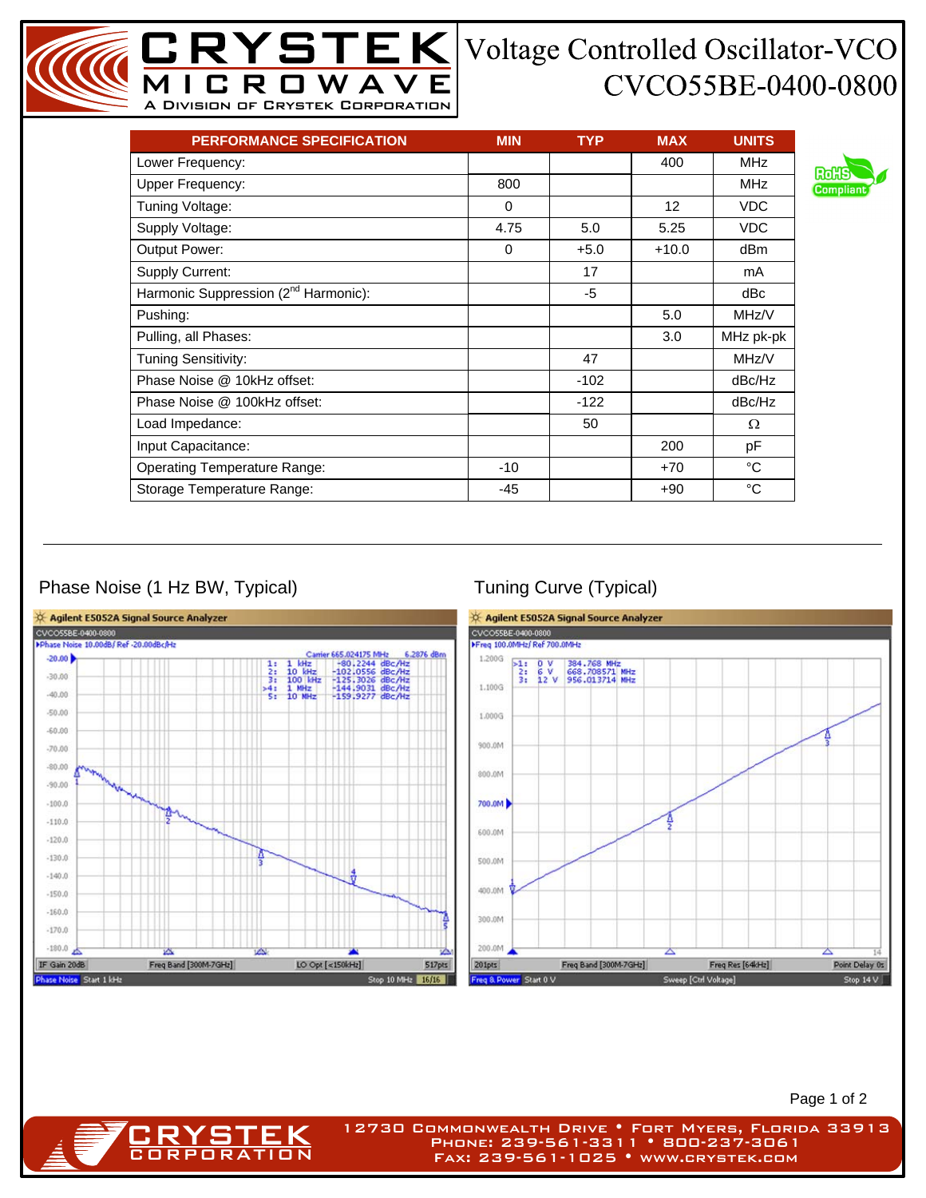## CVCO55BE-0400-0800

| <b>PERFORMANCE SPECIFICATION</b>                 | <b>MIN</b> | <b>TYP</b> | <b>MAX</b>        | <b>UNITS</b> |
|--------------------------------------------------|------------|------------|-------------------|--------------|
| Lower Frequency:                                 |            |            | 400               | <b>MHz</b>   |
| <b>Upper Frequency:</b>                          | 800        |            |                   | <b>MHz</b>   |
| Tuning Voltage:                                  | 0          |            | $12 \overline{ }$ | <b>VDC</b>   |
| Supply Voltage:                                  | 4.75       | 5.0        | 5.25              | <b>VDC</b>   |
| Output Power:                                    | $\Omega$   | $+5.0$     | $+10.0$           | dBm          |
| Supply Current:                                  |            | 17         |                   | mA           |
| Harmonic Suppression (2 <sup>nd</sup> Harmonic): |            | -5         |                   | dBc          |
| Pushing:                                         |            |            | 5.0               | MHz/V        |
| Pulling, all Phases:                             |            |            | 3.0               | MHz pk-pk    |
| <b>Tuning Sensitivity:</b>                       |            | 47         |                   | MHz/V        |
| Phase Noise @ 10kHz offset:                      |            | $-102$     |                   | dBc/Hz       |
| Phase Noise @ 100kHz offset:                     |            | $-122$     |                   | dBc/Hz       |
| Load Impedance:                                  |            | 50         |                   | Ω            |
| Input Capacitance:                               |            |            | 200               | рF           |
| <b>Operating Temperature Range:</b>              | $-10$      |            | $+70$             | °C           |
| Storage Temperature Range:                       | -45        |            | $+90$             | °C           |

MICROWAVE A Division of Crystek Corporation

## Phase Noise (1 Hz BW, Typical) Tuning Curve (Typical)

**CRYSTEK** 



Page 1 of 2

12730 Commonwealth Drive • Fort Myers, Florida 33913 Phone: 239-561-3311 • 800-237-3061 Fax: 239-561-1025 • www.crystek.com